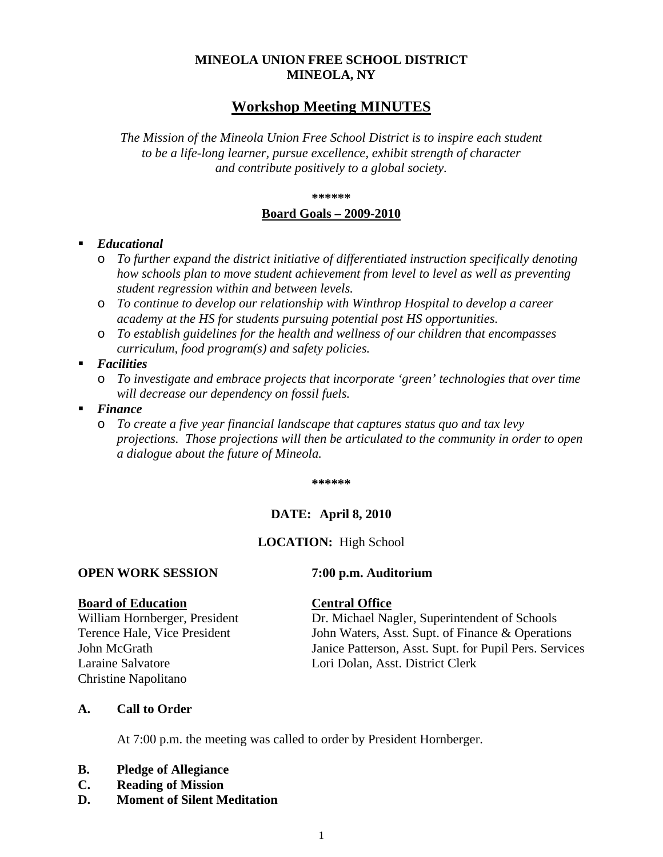## **MINEOLA UNION FREE SCHOOL DISTRICT MINEOLA, NY**

## **Workshop Meeting MINUTES**

*The Mission of the Mineola Union Free School District is to inspire each student to be a life-long learner, pursue excellence, exhibit strength of character and contribute positively to a global society.*

#### **\*\*\*\*\*\***

#### **Board Goals – 2009-2010**

### *Educational*

- o *To further expand the district initiative of differentiated instruction specifically denoting how schools plan to move student achievement from level to level as well as preventing student regression within and between levels.*
- o *To continue to develop our relationship with Winthrop Hospital to develop a career academy at the HS for students pursuing potential post HS opportunities.*
- o *To establish guidelines for the health and wellness of our children that encompasses curriculum, food program(s) and safety policies.*
- *Facilities* 
	- o *To investigate and embrace projects that incorporate 'green' technologies that over time will decrease our dependency on fossil fuels.*
- *Finance* 
	- o *To create a five year financial landscape that captures status quo and tax levy projections. Those projections will then be articulated to the community in order to open a dialogue about the future of Mineola.*

**\*\*\*\*\*\***

### **DATE: April 8, 2010**

### **LOCATION:** High School

## **OPEN WORK SESSION 7:00 p.m. Auditorium**

**Board of Education**<br>William Hornberger, President **Central Office**<br>Dr. Michael Na Christine Napolitano

Dr. Michael Nagler, Superintendent of Schools Terence Hale, Vice President John Waters, Asst. Supt. of Finance & Operations John McGrath Janice Patterson, Asst. Supt. for Pupil Pers. Services Laraine Salvatore Lori Dolan, Asst. District Clerk

#### **A. Call to Order**

At 7:00 p.m. the meeting was called to order by President Hornberger.

- **B. Pledge of Allegiance**
- **C. Reading of Mission**
- **D. Moment of Silent Meditation**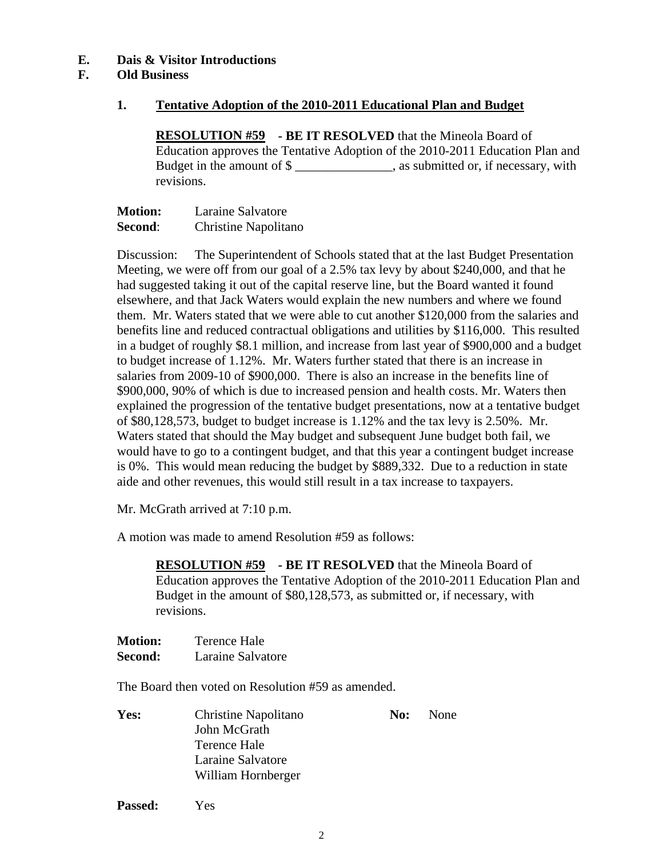## **E. Dais & Visitor Introductions**

## **F. Old Business**

### **1. Tentative Adoption of the 2010-2011 Educational Plan and Budget**

**RESOLUTION #59 - BE IT RESOLVED** that the Mineola Board of Education approves the Tentative Adoption of the 2010-2011 Education Plan and Budget in the amount of \$ revisions.

| <b>Motion:</b> | Laraine Salvatore    |
|----------------|----------------------|
| Second:        | Christine Napolitano |

Discussion: The Superintendent of Schools stated that at the last Budget Presentation Meeting, we were off from our goal of a 2.5% tax levy by about \$240,000, and that he had suggested taking it out of the capital reserve line, but the Board wanted it found elsewhere, and that Jack Waters would explain the new numbers and where we found them. Mr. Waters stated that we were able to cut another \$120,000 from the salaries and benefits line and reduced contractual obligations and utilities by \$116,000. This resulted in a budget of roughly \$8.1 million, and increase from last year of \$900,000 and a budget to budget increase of 1.12%. Mr. Waters further stated that there is an increase in salaries from 2009-10 of \$900,000. There is also an increase in the benefits line of \$900,000, 90% of which is due to increased pension and health costs. Mr. Waters then explained the progression of the tentative budget presentations, now at a tentative budget of \$80,128,573, budget to budget increase is 1.12% and the tax levy is 2.50%. Mr. Waters stated that should the May budget and subsequent June budget both fail, we would have to go to a contingent budget, and that this year a contingent budget increase is 0%. This would mean reducing the budget by \$889,332. Due to a reduction in state aide and other revenues, this would still result in a tax increase to taxpayers.

Mr. McGrath arrived at 7:10 p.m.

A motion was made to amend Resolution #59 as follows:

**RESOLUTION #59 - BE IT RESOLVED** that the Mineola Board of Education approves the Tentative Adoption of the 2010-2011 Education Plan and Budget in the amount of \$80,128,573, as submitted or, if necessary, with revisions.

| <b>Motion:</b> | Terence Hale      |
|----------------|-------------------|
| <b>Second:</b> | Laraine Salvatore |

The Board then voted on Resolution #59 as amended.

**Passed:** Yes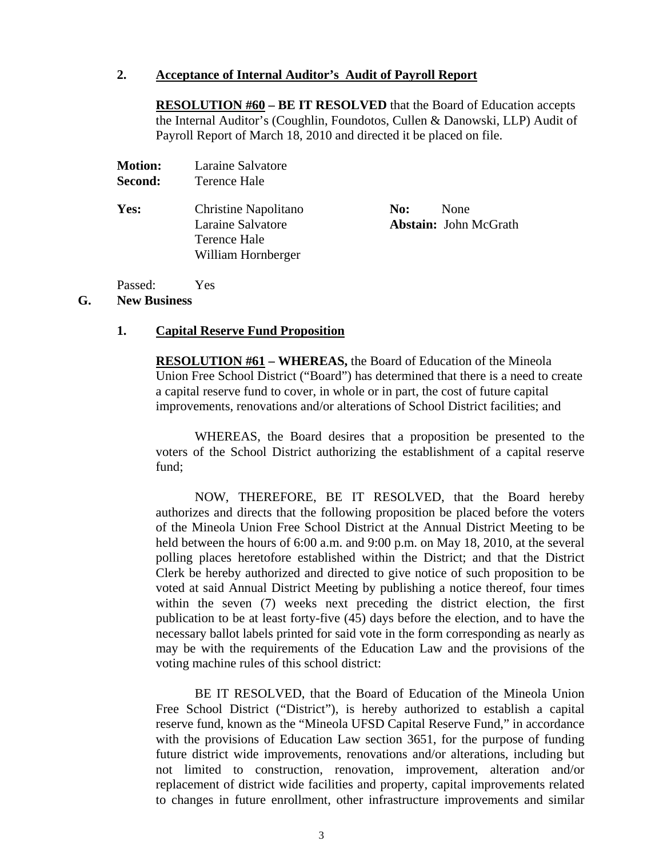### **2. Acceptance of Internal Auditor's Audit of Payroll Report**

**RESOLUTION #60 – BE IT RESOLVED** that the Board of Education accepts the Internal Auditor's (Coughlin, Foundotos, Cullen & Danowski, LLP) Audit of Payroll Report of March 18, 2010 and directed it be placed on file.

| плоцон.<br>Second: | Lafanic Dafvatore<br>Terence Hale                                               |     |                                             |
|--------------------|---------------------------------------------------------------------------------|-----|---------------------------------------------|
| Yes:               | Christine Napolitano<br>Laraine Salvatore<br>Terence Hale<br>William Hornberger | No: | <b>None</b><br><b>Abstain:</b> John McGrath |

Passed: Yes

### **G. New Business**

#### **1. Capital Reserve Fund Proposition**

**Motion:** Laraine Salvatore

**RESOLUTION #61 – WHEREAS,** the Board of Education of the Mineola Union Free School District ("Board") has determined that there is a need to create a capital reserve fund to cover, in whole or in part, the cost of future capital improvements, renovations and/or alterations of School District facilities; and

WHEREAS, the Board desires that a proposition be presented to the voters of the School District authorizing the establishment of a capital reserve fund;

NOW, THEREFORE, BE IT RESOLVED, that the Board hereby authorizes and directs that the following proposition be placed before the voters of the Mineola Union Free School District at the Annual District Meeting to be held between the hours of 6:00 a.m. and 9:00 p.m. on May 18, 2010, at the several polling places heretofore established within the District; and that the District Clerk be hereby authorized and directed to give notice of such proposition to be voted at said Annual District Meeting by publishing a notice thereof, four times within the seven (7) weeks next preceding the district election, the first publication to be at least forty-five (45) days before the election, and to have the necessary ballot labels printed for said vote in the form corresponding as nearly as may be with the requirements of the Education Law and the provisions of the voting machine rules of this school district:

BE IT RESOLVED, that the Board of Education of the Mineola Union Free School District ("District"), is hereby authorized to establish a capital reserve fund, known as the "Mineola UFSD Capital Reserve Fund," in accordance with the provisions of Education Law section 3651, for the purpose of funding future district wide improvements, renovations and/or alterations, including but not limited to construction, renovation, improvement, alteration and/or replacement of district wide facilities and property, capital improvements related to changes in future enrollment, other infrastructure improvements and similar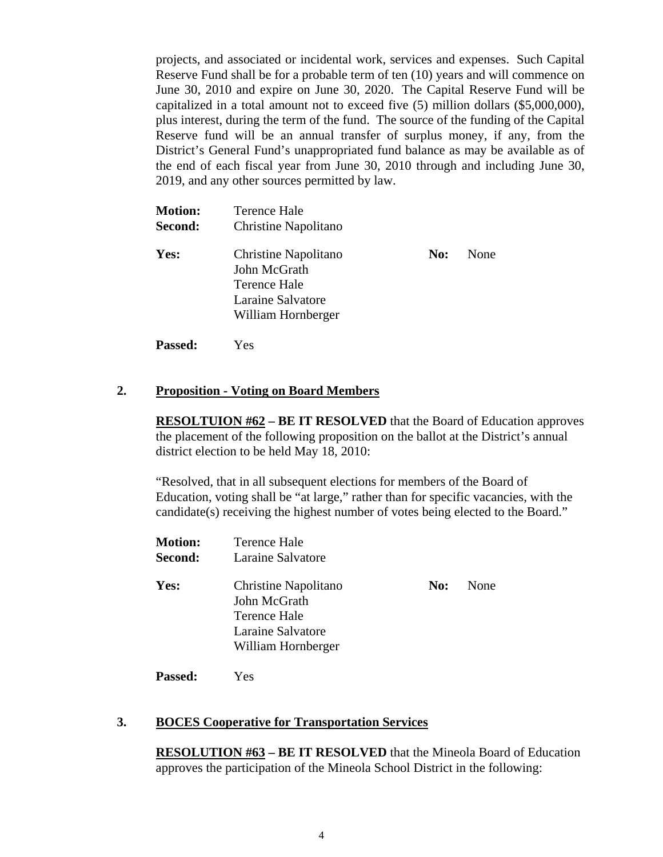projects, and associated or incidental work, services and expenses. Such Capital Reserve Fund shall be for a probable term of ten (10) years and will commence on June 30, 2010 and expire on June 30, 2020. The Capital Reserve Fund will be capitalized in a total amount not to exceed five (5) million dollars (\$5,000,000), plus interest, during the term of the fund. The source of the funding of the Capital Reserve fund will be an annual transfer of surplus money, if any, from the District's General Fund's unappropriated fund balance as may be available as of the end of each fiscal year from June 30, 2010 through and including June 30, 2019, and any other sources permitted by law.

| <b>Motion:</b><br>Second: | Terence Hale<br>Christine Napolitano                                                            |     |      |
|---------------------------|-------------------------------------------------------------------------------------------------|-----|------|
| Yes:                      | Christine Napolitano<br>John McGrath<br>Terence Hale<br>Laraine Salvatore<br>William Hornberger | No: | None |

**Passed:** Yes

**Passed:** Yes

#### **2. Proposition - Voting on Board Members**

**RESOLTUION #62 – BE IT RESOLVED** that the Board of Education approves the placement of the following proposition on the ballot at the District's annual district election to be held May 18, 2010:

"Resolved, that in all subsequent elections for members of the Board of Education, voting shall be "at large," rather than for specific vacancies, with the candidate(s) receiving the highest number of votes being elected to the Board."

| <b>Motion:</b><br><b>Second:</b> | Terence Hale<br>Laraine Salvatore                                                               |     |      |
|----------------------------------|-------------------------------------------------------------------------------------------------|-----|------|
| Yes:                             | Christine Napolitano<br>John McGrath<br>Terence Hale<br>Laraine Salvatore<br>William Hornberger | No: | None |

# **3. BOCES Cooperative for Transportation Services**

**RESOLUTION #63 – BE IT RESOLVED** that the Mineola Board of Education approves the participation of the Mineola School District in the following: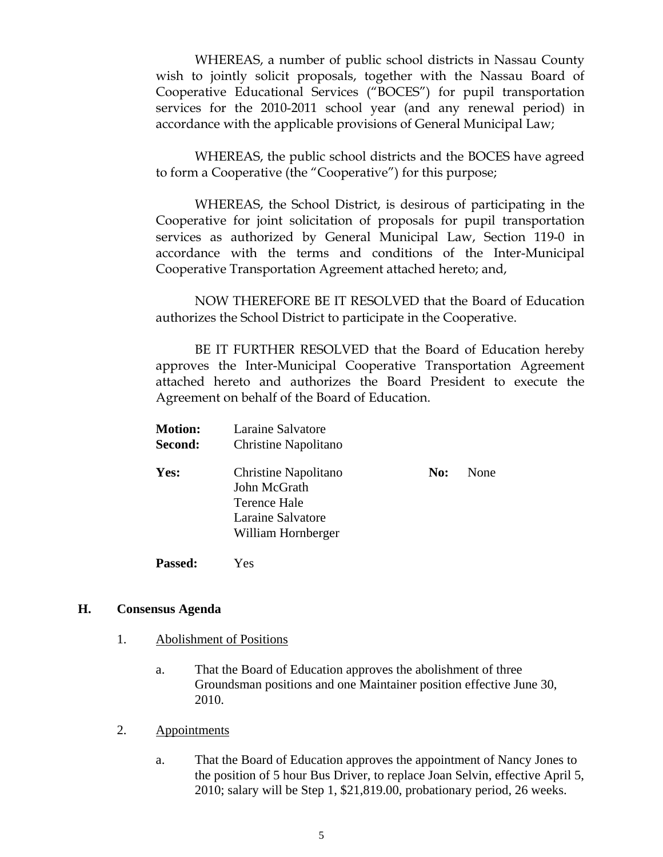WHEREAS, a number of public school districts in Nassau County wish to jointly solicit proposals, together with the Nassau Board of Cooperative Educational Services ("BOCES") for pupil transportation services for the 2010-2011 school year (and any renewal period) in accordance with the applicable provisions of General Municipal Law;

WHEREAS, the public school districts and the BOCES have agreed to form a Cooperative (the "Cooperative") for this purpose;

WHEREAS, the School District, is desirous of participating in the Cooperative for joint solicitation of proposals for pupil transportation services as authorized by General Municipal Law, Section 119-0 in accordance with the terms and conditions of the Inter-Municipal Cooperative Transportation Agreement attached hereto; and,

NOW THEREFORE BE IT RESOLVED that the Board of Education authorizes the School District to participate in the Cooperative.

BE IT FURTHER RESOLVED that the Board of Education hereby approves the Inter-Municipal Cooperative Transportation Agreement attached hereto and authorizes the Board President to execute the Agreement on behalf of the Board of Education.

| <b>Motion:</b><br>Second: | Laraine Salvatore<br>Christine Napolitano                                                       |     |      |
|---------------------------|-------------------------------------------------------------------------------------------------|-----|------|
| Yes:                      | Christine Napolitano<br>John McGrath<br>Terence Hale<br>Laraine Salvatore<br>William Hornberger | No: | None |
| <b>Passed:</b>            | Yes                                                                                             |     |      |

### **H. Consensus Agenda**

- 1. Abolishment of Positions
	- a. That the Board of Education approves the abolishment of three Groundsman positions and one Maintainer position effective June 30, 2010.
- 2. Appointments
	- a. That the Board of Education approves the appointment of Nancy Jones to the position of 5 hour Bus Driver, to replace Joan Selvin, effective April 5, 2010; salary will be Step 1, \$21,819.00, probationary period, 26 weeks.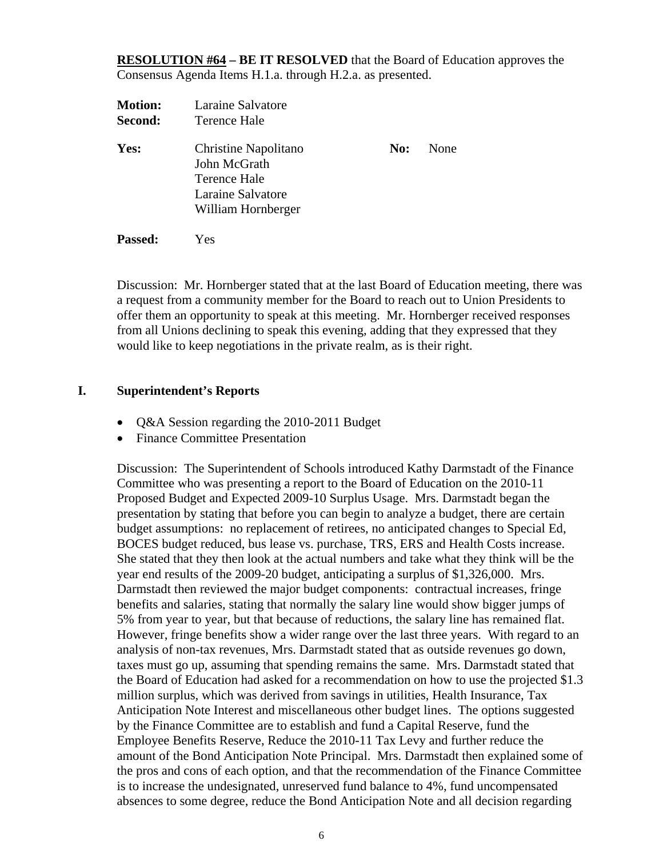**RESOLUTION #64 – BE IT RESOLVED** that the Board of Education approves the Consensus Agenda Items H.1.a. through H.2.a. as presented.

| <b>Motion:</b><br>Second: | Laraine Salvatore<br>Terence Hale                                                               |     |      |
|---------------------------|-------------------------------------------------------------------------------------------------|-----|------|
| Yes:                      | Christine Napolitano<br>John McGrath<br>Terence Hale<br>Laraine Salvatore<br>William Hornberger | No: | None |

**Passed:** Yes

Discussion: Mr. Hornberger stated that at the last Board of Education meeting, there was a request from a community member for the Board to reach out to Union Presidents to offer them an opportunity to speak at this meeting. Mr. Hornberger received responses from all Unions declining to speak this evening, adding that they expressed that they would like to keep negotiations in the private realm, as is their right.

## **I. Superintendent's Reports**

- Q&A Session regarding the 2010-2011 Budget
- Finance Committee Presentation

Discussion: The Superintendent of Schools introduced Kathy Darmstadt of the Finance Committee who was presenting a report to the Board of Education on the 2010-11 Proposed Budget and Expected 2009-10 Surplus Usage. Mrs. Darmstadt began the presentation by stating that before you can begin to analyze a budget, there are certain budget assumptions: no replacement of retirees, no anticipated changes to Special Ed, BOCES budget reduced, bus lease vs. purchase, TRS, ERS and Health Costs increase. She stated that they then look at the actual numbers and take what they think will be the year end results of the 2009-20 budget, anticipating a surplus of \$1,326,000. Mrs. Darmstadt then reviewed the major budget components: contractual increases, fringe benefits and salaries, stating that normally the salary line would show bigger jumps of 5% from year to year, but that because of reductions, the salary line has remained flat. However, fringe benefits show a wider range over the last three years. With regard to an analysis of non-tax revenues, Mrs. Darmstadt stated that as outside revenues go down, taxes must go up, assuming that spending remains the same. Mrs. Darmstadt stated that the Board of Education had asked for a recommendation on how to use the projected \$1.3 million surplus, which was derived from savings in utilities, Health Insurance, Tax Anticipation Note Interest and miscellaneous other budget lines. The options suggested by the Finance Committee are to establish and fund a Capital Reserve, fund the Employee Benefits Reserve, Reduce the 2010-11 Tax Levy and further reduce the amount of the Bond Anticipation Note Principal. Mrs. Darmstadt then explained some of the pros and cons of each option, and that the recommendation of the Finance Committee is to increase the undesignated, unreserved fund balance to 4%, fund uncompensated absences to some degree, reduce the Bond Anticipation Note and all decision regarding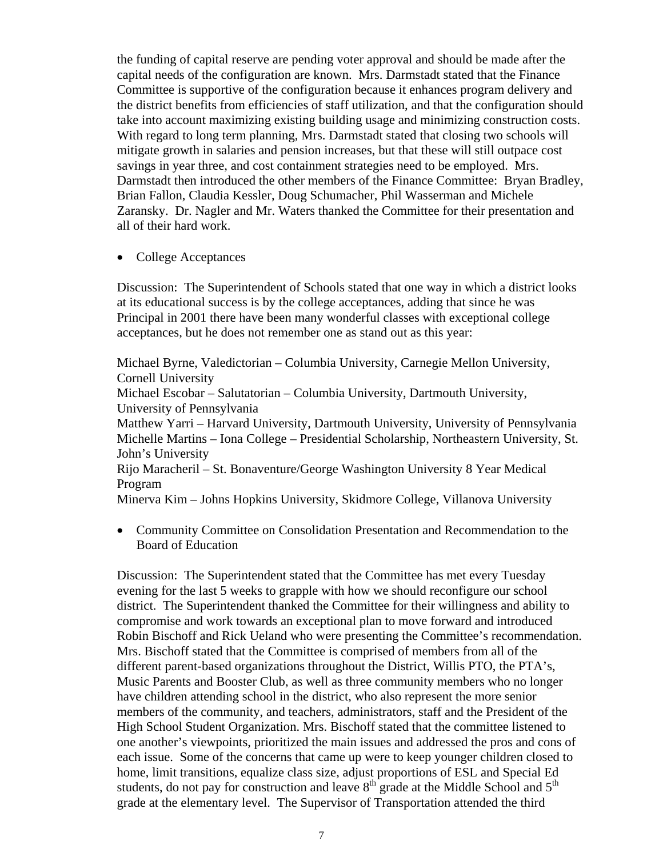the funding of capital reserve are pending voter approval and should be made after the capital needs of the configuration are known. Mrs. Darmstadt stated that the Finance Committee is supportive of the configuration because it enhances program delivery and the district benefits from efficiencies of staff utilization, and that the configuration should take into account maximizing existing building usage and minimizing construction costs. With regard to long term planning, Mrs. Darmstadt stated that closing two schools will mitigate growth in salaries and pension increases, but that these will still outpace cost savings in year three, and cost containment strategies need to be employed. Mrs. Darmstadt then introduced the other members of the Finance Committee: Bryan Bradley, Brian Fallon, Claudia Kessler, Doug Schumacher, Phil Wasserman and Michele Zaransky. Dr. Nagler and Mr. Waters thanked the Committee for their presentation and all of their hard work.

• College Acceptances

Discussion: The Superintendent of Schools stated that one way in which a district looks at its educational success is by the college acceptances, adding that since he was Principal in 2001 there have been many wonderful classes with exceptional college acceptances, but he does not remember one as stand out as this year:

Michael Byrne, Valedictorian – Columbia University, Carnegie Mellon University, Cornell University Michael Escobar – Salutatorian – Columbia University, Dartmouth University, University of Pennsylvania Matthew Yarri – Harvard University, Dartmouth University, University of Pennsylvania Michelle Martins – Iona College – Presidential Scholarship, Northeastern University, St. John's University Rijo Maracheril – St. Bonaventure/George Washington University 8 Year Medical Program Minerva Kim – Johns Hopkins University, Skidmore College, Villanova University

• Community Committee on Consolidation Presentation and Recommendation to the Board of Education

Discussion: The Superintendent stated that the Committee has met every Tuesday evening for the last 5 weeks to grapple with how we should reconfigure our school district. The Superintendent thanked the Committee for their willingness and ability to compromise and work towards an exceptional plan to move forward and introduced Robin Bischoff and Rick Ueland who were presenting the Committee's recommendation. Mrs. Bischoff stated that the Committee is comprised of members from all of the different parent-based organizations throughout the District, Willis PTO, the PTA's, Music Parents and Booster Club, as well as three community members who no longer have children attending school in the district, who also represent the more senior members of the community, and teachers, administrators, staff and the President of the High School Student Organization. Mrs. Bischoff stated that the committee listened to one another's viewpoints, prioritized the main issues and addressed the pros and cons of each issue. Some of the concerns that came up were to keep younger children closed to home, limit transitions, equalize class size, adjust proportions of ESL and Special Ed students, do not pay for construction and leave  $8<sup>th</sup>$  grade at the Middle School and  $5<sup>th</sup>$ grade at the elementary level. The Supervisor of Transportation attended the third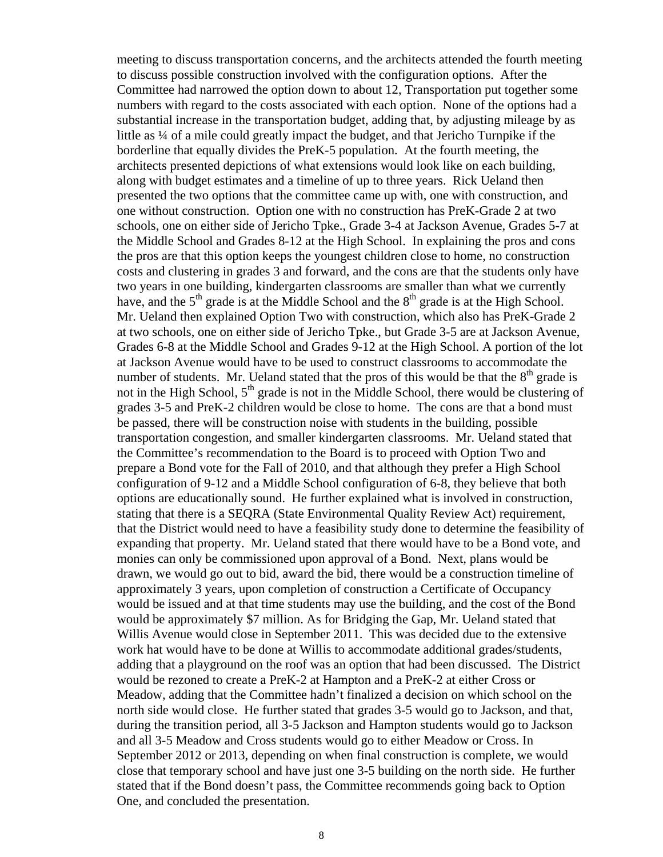meeting to discuss transportation concerns, and the architects attended the fourth meeting to discuss possible construction involved with the configuration options. After the Committee had narrowed the option down to about 12, Transportation put together some numbers with regard to the costs associated with each option. None of the options had a substantial increase in the transportation budget, adding that, by adjusting mileage by as little as ¼ of a mile could greatly impact the budget, and that Jericho Turnpike if the borderline that equally divides the PreK-5 population. At the fourth meeting, the architects presented depictions of what extensions would look like on each building, along with budget estimates and a timeline of up to three years. Rick Ueland then presented the two options that the committee came up with, one with construction, and one without construction. Option one with no construction has PreK-Grade 2 at two schools, one on either side of Jericho Tpke., Grade 3-4 at Jackson Avenue, Grades 5-7 at the Middle School and Grades 8-12 at the High School. In explaining the pros and cons the pros are that this option keeps the youngest children close to home, no construction costs and clustering in grades 3 and forward, and the cons are that the students only have two years in one building, kindergarten classrooms are smaller than what we currently have, and the  $5<sup>th</sup>$  grade is at the Middle School and the  $8<sup>th</sup>$  grade is at the High School. Mr. Ueland then explained Option Two with construction, which also has PreK-Grade 2 at two schools, one on either side of Jericho Tpke., but Grade 3-5 are at Jackson Avenue, Grades 6-8 at the Middle School and Grades 9-12 at the High School. A portion of the lot at Jackson Avenue would have to be used to construct classrooms to accommodate the number of students. Mr. Ueland stated that the pros of this would be that the  $8<sup>th</sup>$  grade is not in the High School,  $5<sup>th</sup>$  grade is not in the Middle School, there would be clustering of grades 3-5 and PreK-2 children would be close to home. The cons are that a bond must be passed, there will be construction noise with students in the building, possible transportation congestion, and smaller kindergarten classrooms. Mr. Ueland stated that the Committee's recommendation to the Board is to proceed with Option Two and prepare a Bond vote for the Fall of 2010, and that although they prefer a High School configuration of 9-12 and a Middle School configuration of 6-8, they believe that both options are educationally sound. He further explained what is involved in construction, stating that there is a SEQRA (State Environmental Quality Review Act) requirement, that the District would need to have a feasibility study done to determine the feasibility of expanding that property. Mr. Ueland stated that there would have to be a Bond vote, and monies can only be commissioned upon approval of a Bond. Next, plans would be drawn, we would go out to bid, award the bid, there would be a construction timeline of approximately 3 years, upon completion of construction a Certificate of Occupancy would be issued and at that time students may use the building, and the cost of the Bond would be approximately \$7 million. As for Bridging the Gap, Mr. Ueland stated that Willis Avenue would close in September 2011. This was decided due to the extensive work hat would have to be done at Willis to accommodate additional grades/students, adding that a playground on the roof was an option that had been discussed. The District would be rezoned to create a PreK-2 at Hampton and a PreK-2 at either Cross or Meadow, adding that the Committee hadn't finalized a decision on which school on the north side would close. He further stated that grades 3-5 would go to Jackson, and that, during the transition period, all 3-5 Jackson and Hampton students would go to Jackson and all 3-5 Meadow and Cross students would go to either Meadow or Cross. In September 2012 or 2013, depending on when final construction is complete, we would close that temporary school and have just one 3-5 building on the north side. He further stated that if the Bond doesn't pass, the Committee recommends going back to Option One, and concluded the presentation.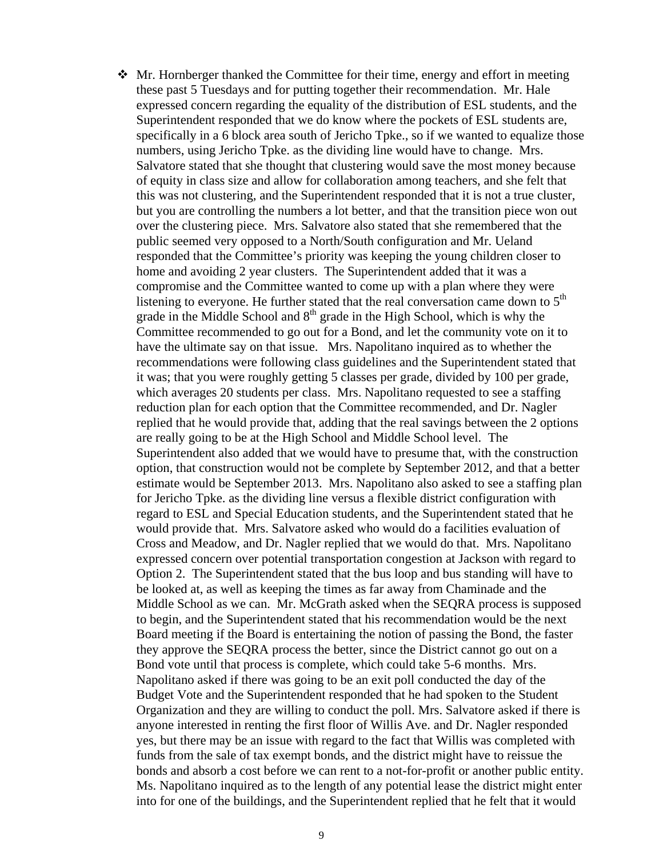Mr. Hornberger thanked the Committee for their time, energy and effort in meeting these past 5 Tuesdays and for putting together their recommendation. Mr. Hale expressed concern regarding the equality of the distribution of ESL students, and the Superintendent responded that we do know where the pockets of ESL students are, specifically in a 6 block area south of Jericho Tpke., so if we wanted to equalize those numbers, using Jericho Tpke. as the dividing line would have to change. Mrs. Salvatore stated that she thought that clustering would save the most money because of equity in class size and allow for collaboration among teachers, and she felt that this was not clustering, and the Superintendent responded that it is not a true cluster, but you are controlling the numbers a lot better, and that the transition piece won out over the clustering piece. Mrs. Salvatore also stated that she remembered that the public seemed very opposed to a North/South configuration and Mr. Ueland responded that the Committee's priority was keeping the young children closer to home and avoiding 2 year clusters. The Superintendent added that it was a compromise and the Committee wanted to come up with a plan where they were listening to everyone. He further stated that the real conversation came down to  $5<sup>th</sup>$ grade in the Middle School and  $8<sup>th</sup>$  grade in the High School, which is why the Committee recommended to go out for a Bond, and let the community vote on it to have the ultimate say on that issue. Mrs. Napolitano inquired as to whether the recommendations were following class guidelines and the Superintendent stated that it was; that you were roughly getting 5 classes per grade, divided by 100 per grade, which averages 20 students per class. Mrs. Napolitano requested to see a staffing reduction plan for each option that the Committee recommended, and Dr. Nagler replied that he would provide that, adding that the real savings between the 2 options are really going to be at the High School and Middle School level. The Superintendent also added that we would have to presume that, with the construction option, that construction would not be complete by September 2012, and that a better estimate would be September 2013. Mrs. Napolitano also asked to see a staffing plan for Jericho Tpke. as the dividing line versus a flexible district configuration with regard to ESL and Special Education students, and the Superintendent stated that he would provide that. Mrs. Salvatore asked who would do a facilities evaluation of Cross and Meadow, and Dr. Nagler replied that we would do that. Mrs. Napolitano expressed concern over potential transportation congestion at Jackson with regard to Option 2. The Superintendent stated that the bus loop and bus standing will have to be looked at, as well as keeping the times as far away from Chaminade and the Middle School as we can. Mr. McGrath asked when the SEQRA process is supposed to begin, and the Superintendent stated that his recommendation would be the next Board meeting if the Board is entertaining the notion of passing the Bond, the faster they approve the SEQRA process the better, since the District cannot go out on a Bond vote until that process is complete, which could take 5-6 months. Mrs. Napolitano asked if there was going to be an exit poll conducted the day of the Budget Vote and the Superintendent responded that he had spoken to the Student Organization and they are willing to conduct the poll. Mrs. Salvatore asked if there is anyone interested in renting the first floor of Willis Ave. and Dr. Nagler responded yes, but there may be an issue with regard to the fact that Willis was completed with funds from the sale of tax exempt bonds, and the district might have to reissue the bonds and absorb a cost before we can rent to a not-for-profit or another public entity. Ms. Napolitano inquired as to the length of any potential lease the district might enter into for one of the buildings, and the Superintendent replied that he felt that it would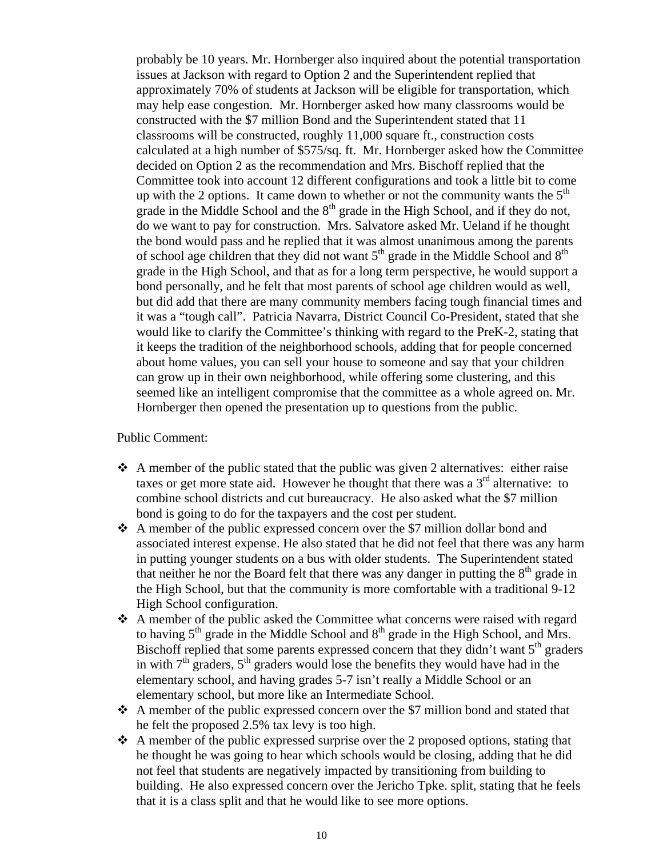probably be 10 years. Mr. Hornberger also inquired about the potential transportation issues at Jackson with regard to Option 2 and the Superintendent replied that approximately 70% of students at Jackson will be eligible for transportation, which may help ease congestion. Mr. Hornberger asked how many classrooms would be constructed with the \$7 million Bond and the Superintendent stated that 11 classrooms will be constructed, roughly 11,000 square ft., construction costs calculated at a high number of \$575/sq. ft. Mr. Hornberger asked how the Committee decided on Option 2 as the recommendation and Mrs. Bischoff replied that the Committee took into account 12 different configurations and took a little bit to come up with the 2 options. It came down to whether or not the community wants the  $5<sup>th</sup>$ grade in the Middle School and the  $8<sup>th</sup>$  grade in the High School, and if they do not, do we want to pay for construction. Mrs. Salvatore asked Mr. Ueland if he thought the bond would pass and he replied that it was almost unanimous among the parents of school age children that they did not want  $5<sup>th</sup>$  grade in the Middle School and  $8<sup>th</sup>$ grade in the High School, and that as for a long term perspective, he would support a bond personally, and he felt that most parents of school age children would as well, but did add that there are many community members facing tough financial times and it was a "tough call". Patricia Navarra, District Council Co-President, stated that she would like to clarify the Committee's thinking with regard to the PreK-2, stating that it keeps the tradition of the neighborhood schools, adding that for people concerned about home values, you can sell your house to someone and say that your children can grow up in their own neighborhood, while offering some clustering, and this seemed like an intelligent compromise that the committee as a whole agreed on. Mr. Hornberger then opened the presentation up to questions from the public.

#### Public Comment:

- $\triangle$  A member of the public stated that the public was given 2 alternatives: either raise taxes or get more state aid. However he thought that there was a  $3<sup>rd</sup>$  alternative: to combine school districts and cut bureaucracy. He also asked what the \$7 million bond is going to do for the taxpayers and the cost per student.
- A member of the public expressed concern over the \$7 million dollar bond and associated interest expense. He also stated that he did not feel that there was any harm in putting younger students on a bus with older students. The Superintendent stated that neither he nor the Board felt that there was any danger in putting the  $8<sup>th</sup>$  grade in the High School, but that the community is more comfortable with a traditional 9-12 High School configuration.
- A member of the public asked the Committee what concerns were raised with regard to having  $5<sup>th</sup>$  grade in the Middle School and  $8<sup>th</sup>$  grade in the High School, and Mrs. Bischoff replied that some parents expressed concern that they didn't want  $5<sup>th</sup>$  graders in with  $7<sup>th</sup>$  graders,  $5<sup>th</sup>$  graders would lose the benefits they would have had in the elementary school, and having grades 5-7 isn't really a Middle School or an elementary school, but more like an Intermediate School.
- A member of the public expressed concern over the \$7 million bond and stated that he felt the proposed 2.5% tax levy is too high.
- $\triangle$  A member of the public expressed surprise over the 2 proposed options, stating that he thought he was going to hear which schools would be closing, adding that he did not feel that students are negatively impacted by transitioning from building to building. He also expressed concern over the Jericho Tpke. split, stating that he feels that it is a class split and that he would like to see more options.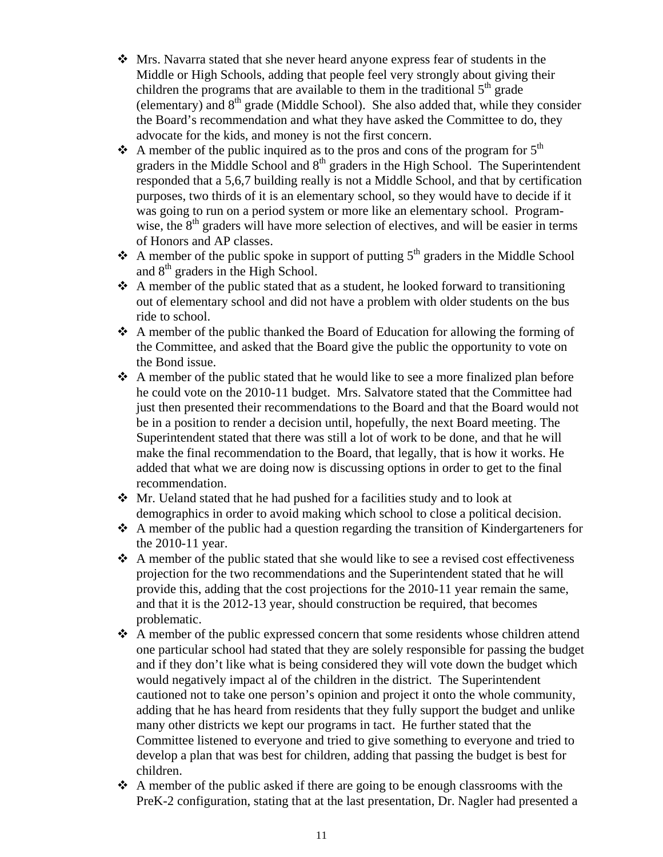- Mrs. Navarra stated that she never heard anyone express fear of students in the Middle or High Schools, adding that people feel very strongly about giving their children the programs that are available to them in the traditional  $5<sup>th</sup>$  grade (elementary) and  $8<sup>th</sup>$  grade (Middle School). She also added that, while they consider the Board's recommendation and what they have asked the Committee to do, they advocate for the kids, and money is not the first concern.
- A member of the public inquired as to the pros and cons of the program for  $5<sup>th</sup>$ graders in the Middle School and  $8<sup>th</sup>$  graders in the High School. The Superintendent responded that a 5,6,7 building really is not a Middle School, and that by certification purposes, two thirds of it is an elementary school, so they would have to decide if it was going to run on a period system or more like an elementary school. Programwise, the  $8<sup>th</sup>$  graders will have more selection of electives, and will be easier in terms of Honors and AP classes.
- A member of the public spoke in support of putting  $5<sup>th</sup>$  graders in the Middle School and  $8<sup>th</sup>$  graders in the High School.
- $\triangle$  A member of the public stated that as a student, he looked forward to transitioning out of elementary school and did not have a problem with older students on the bus ride to school.
- A member of the public thanked the Board of Education for allowing the forming of the Committee, and asked that the Board give the public the opportunity to vote on the Bond issue.
- $\triangle$  A member of the public stated that he would like to see a more finalized plan before he could vote on the 2010-11 budget. Mrs. Salvatore stated that the Committee had just then presented their recommendations to the Board and that the Board would not be in a position to render a decision until, hopefully, the next Board meeting. The Superintendent stated that there was still a lot of work to be done, and that he will make the final recommendation to the Board, that legally, that is how it works. He added that what we are doing now is discussing options in order to get to the final recommendation.
- Mr. Ueland stated that he had pushed for a facilities study and to look at demographics in order to avoid making which school to close a political decision.
- $\triangle$  A member of the public had a question regarding the transition of Kindergarteners for the 2010-11 year.
- $\triangle$  A member of the public stated that she would like to see a revised cost effectiveness projection for the two recommendations and the Superintendent stated that he will provide this, adding that the cost projections for the 2010-11 year remain the same, and that it is the 2012-13 year, should construction be required, that becomes problematic.
- A member of the public expressed concern that some residents whose children attend one particular school had stated that they are solely responsible for passing the budget and if they don't like what is being considered they will vote down the budget which would negatively impact al of the children in the district. The Superintendent cautioned not to take one person's opinion and project it onto the whole community, adding that he has heard from residents that they fully support the budget and unlike many other districts we kept our programs in tact. He further stated that the Committee listened to everyone and tried to give something to everyone and tried to develop a plan that was best for children, adding that passing the budget is best for children.
- $\triangle$  A member of the public asked if there are going to be enough classrooms with the PreK-2 configuration, stating that at the last presentation, Dr. Nagler had presented a